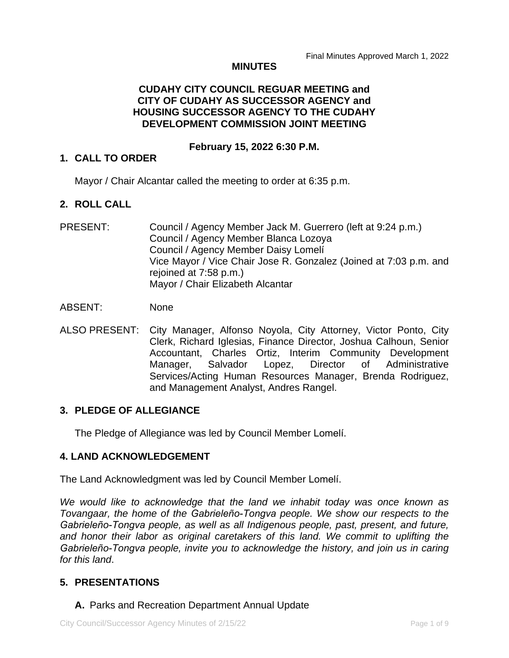### **MINUTES**

# **CUDAHY CITY COUNCIL REGUAR MEETING and CITY OF CUDAHY AS SUCCESSOR AGENCY and HOUSING SUCCESSOR AGENCY TO THE CUDAHY DEVELOPMENT COMMISSION JOINT MEETING**

### **February 15, 2022 6:30 P.M.**

### **1. CALL TO ORDER**

Mayor / Chair Alcantar called the meeting to order at 6:35 p.m.

### **2. ROLL CALL**

- PRESENT: Council / Agency Member Jack M. Guerrero (left at 9:24 p.m.) Council / Agency Member Blanca Lozoya Council / Agency Member Daisy Lomelí Vice Mayor / Vice Chair Jose R. Gonzalez (Joined at 7:03 p.m. and rejoined at 7:58 p.m.) Mayor / Chair Elizabeth Alcantar
- ABSENT: None
- ALSO PRESENT: City Manager, Alfonso Noyola, City Attorney, Victor Ponto, City Clerk, Richard Iglesias, Finance Director, Joshua Calhoun, Senior Accountant, Charles Ortiz, Interim Community Development Manager, Salvador Lopez, Director of Administrative Services/Acting Human Resources Manager, Brenda Rodriguez, and Management Analyst, Andres Rangel.

#### **3. PLEDGE OF ALLEGIANCE**

The Pledge of Allegiance was led by Council Member Lomelí.

#### **4. LAND ACKNOWLEDGEMENT**

The Land Acknowledgment was led by Council Member Lomelí.

*We would like to acknowledge that the land we inhabit today was once known as Tovangaar, the home of the Gabrieleño-Tongva people. We show our respects to the Gabrieleño-Tongva people, as well as all Indigenous people, past, present, and future, and honor their labor as original caretakers of this land. We commit to uplifting the Gabrieleño-Tongva people, invite you to acknowledge the history, and join us in caring for this land*.

# **5. PRESENTATIONS**

#### **A.** Parks and Recreation Department Annual Update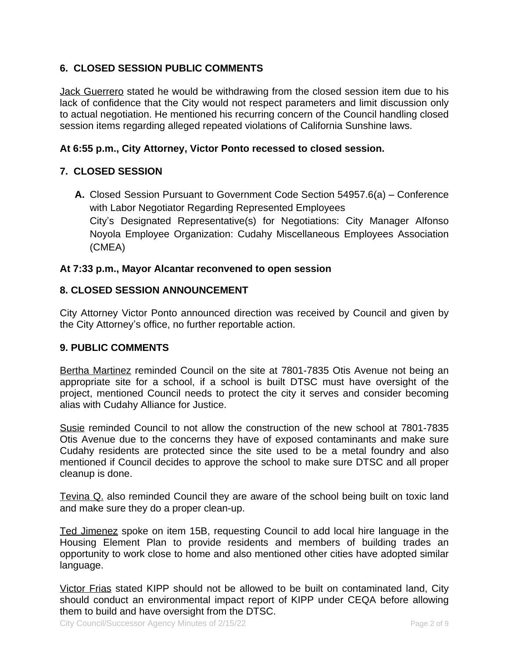# **6. CLOSED SESSION PUBLIC COMMENTS**

Jack Guerrero stated he would be withdrawing from the closed session item due to his lack of confidence that the City would not respect parameters and limit discussion only to actual negotiation. He mentioned his recurring concern of the Council handling closed session items regarding alleged repeated violations of California Sunshine laws.

# **At 6:55 p.m., City Attorney, Victor Ponto recessed to closed session.**

# **7. CLOSED SESSION**

**A.** Closed Session Pursuant to Government Code Section 54957.6(a) – Conference with Labor Negotiator Regarding Represented Employees City's Designated Representative(s) for Negotiations: City Manager Alfonso Noyola Employee Organization: Cudahy Miscellaneous Employees Association (CMEA)

# **At 7:33 p.m., Mayor Alcantar reconvened to open session**

# **8. CLOSED SESSION ANNOUNCEMENT**

City Attorney Victor Ponto announced direction was received by Council and given by the City Attorney's office, no further reportable action.

# **9. PUBLIC COMMENTS**

Bertha Martinez reminded Council on the site at 7801-7835 Otis Avenue not being an appropriate site for a school, if a school is built DTSC must have oversight of the project, mentioned Council needs to protect the city it serves and consider becoming alias with Cudahy Alliance for Justice.

Susie reminded Council to not allow the construction of the new school at 7801-7835 Otis Avenue due to the concerns they have of exposed contaminants and make sure Cudahy residents are protected since the site used to be a metal foundry and also mentioned if Council decides to approve the school to make sure DTSC and all proper cleanup is done.

Tevina Q. also reminded Council they are aware of the school being built on toxic land and make sure they do a proper clean-up.

Ted Jimenez spoke on item 15B, requesting Council to add local hire language in the Housing Element Plan to provide residents and members of building trades an opportunity to work close to home and also mentioned other cities have adopted similar language.

Victor Frias stated KIPP should not be allowed to be built on contaminated land, City should conduct an environmental impact report of KIPP under CEQA before allowing them to build and have oversight from the DTSC.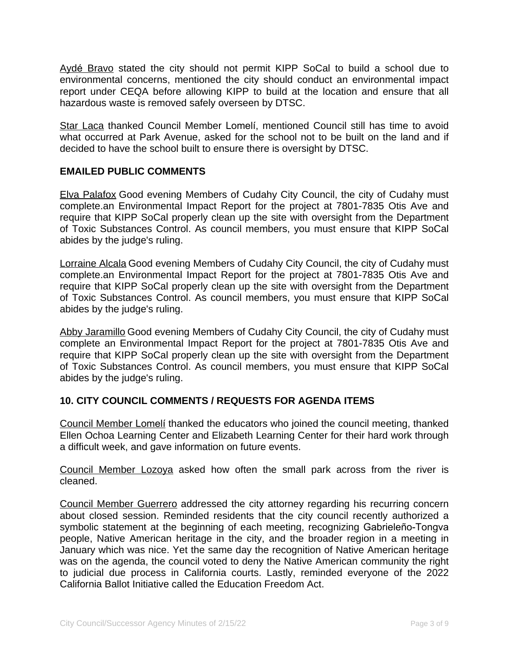Aydé Bravo stated the city should not permit KIPP SoCal to build a school due to environmental concerns, mentioned the city should conduct an environmental impact report under CEQA before allowing KIPP to build at the location and ensure that all hazardous waste is removed safely overseen by DTSC.

Star Laca thanked Council Member Lomelí, mentioned Council still has time to avoid what occurred at Park Avenue, asked for the school not to be built on the land and if decided to have the school built to ensure there is oversight by DTSC.

### **EMAILED PUBLIC COMMENTS**

Elva Palafox Good evening Members of Cudahy City Council, the city of Cudahy must complete.an Environmental Impact Report for the project at 7801-7835 Otis Ave and require that KIPP SoCal properly clean up the site with oversight from the Department of Toxic Substances Control. As council members, you must ensure that KIPP SoCal abides by the judge's ruling.

Lorraine Alcala Good evening Members of Cudahy City Council, the city of Cudahy must complete.an Environmental Impact Report for the project at 7801-7835 Otis Ave and require that KIPP SoCal properly clean up the site with oversight from the Department of Toxic Substances Control. As council members, you must ensure that KIPP SoCal abides by the judge's ruling.

Abby Jaramillo Good evening Members of Cudahy City Council, the city of Cudahy must complete an Environmental Impact Report for the project at 7801-7835 Otis Ave and require that KIPP SoCal properly clean up the site with oversight from the Department of Toxic Substances Control. As council members, you must ensure that KIPP SoCal abides by the judge's ruling.

# **10. CITY COUNCIL COMMENTS / REQUESTS FOR AGENDA ITEMS**

Council Member Lomelí thanked the educators who joined the council meeting, thanked Ellen Ochoa Learning Center and Elizabeth Learning Center for their hard work through a difficult week, and gave information on future events.

Council Member Lozoya asked how often the small park across from the river is cleaned.

Council Member Guerrero addressed the city attorney regarding his recurring concern about closed session. Reminded residents that the city council recently authorized a symbolic statement at the beginning of each meeting, recognizing Gabrieleño-Tongva people, Native American heritage in the city, and the broader region in a meeting in January which was nice. Yet the same day the recognition of Native American heritage was on the agenda, the council voted to deny the Native American community the right to judicial due process in California courts. Lastly, reminded everyone of the 2022 California Ballot Initiative called the Education Freedom Act.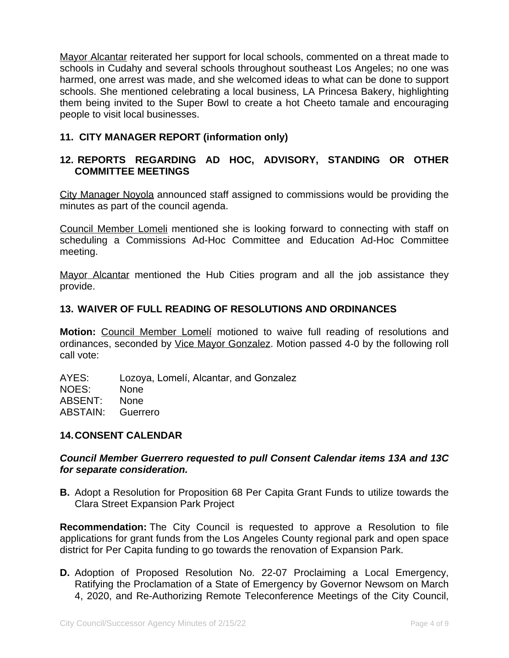Mayor Alcantar reiterated her support for local schools, commented on a threat made to schools in Cudahy and several schools throughout southeast Los Angeles; no one was harmed, one arrest was made, and she welcomed ideas to what can be done to support schools. She mentioned celebrating a local business, LA Princesa Bakery, highlighting them being invited to the Super Bowl to create a hot Cheeto tamale and encouraging people to visit local businesses.

# **11. CITY MANAGER REPORT (information only)**

# **12. REPORTS REGARDING AD HOC, ADVISORY, STANDING OR OTHER COMMITTEE MEETINGS**

City Manager Noyola announced staff assigned to commissions would be providing the minutes as part of the council agenda.

Council Member Lomeli mentioned she is looking forward to connecting with staff on scheduling a Commissions Ad-Hoc Committee and Education Ad-Hoc Committee meeting.

Mayor Alcantar mentioned the Hub Cities program and all the job assistance they provide.

# **13. WAIVER OF FULL READING OF RESOLUTIONS AND ORDINANCES**

**Motion:** Council Member Lomelí motioned to waive full reading of resolutions and ordinances, seconded by Vice Mayor Gonzalez. Motion passed 4-0 by the following roll call vote:

AYES: Lozoya, Lomelí, Alcantar, and Gonzalez NOES: None ABSENT: None ABSTAIN: Guerrero

# **14.CONSENT CALENDAR**

### *Council Member Guerrero requested to pull Consent Calendar items 13A and 13C for separate consideration.*

**B.** Adopt a Resolution for Proposition 68 Per Capita Grant Funds to utilize towards the Clara Street Expansion Park Project

**Recommendation:** The City Council is requested to approve a Resolution to file applications for grant funds from the Los Angeles County regional park and open space district for Per Capita funding to go towards the renovation of Expansion Park.

**D.** Adoption of Proposed Resolution No. 22-07 Proclaiming a Local Emergency, Ratifying the Proclamation of a State of Emergency by Governor Newsom on March 4, 2020, and Re-Authorizing Remote Teleconference Meetings of the City Council,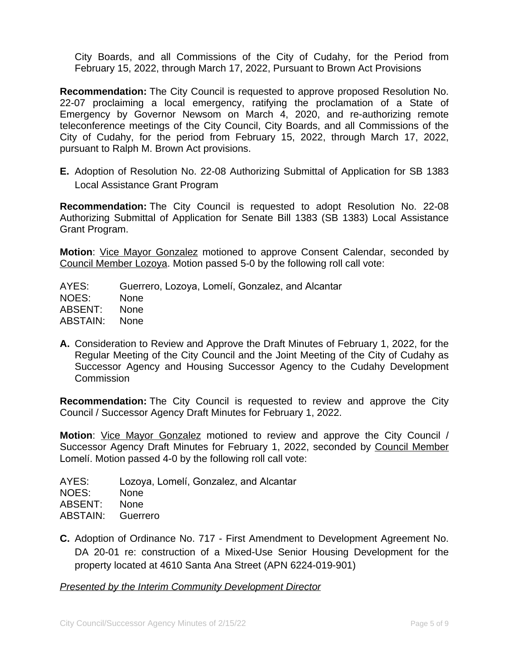City Boards, and all Commissions of the City of Cudahy, for the Period from February 15, 2022, through March 17, 2022, Pursuant to Brown Act Provisions

**Recommendation:** The City Council is requested to approve proposed Resolution No. 22-07 proclaiming a local emergency, ratifying the proclamation of a State of Emergency by Governor Newsom on March 4, 2020, and re-authorizing remote teleconference meetings of the City Council, City Boards, and all Commissions of the City of Cudahy, for the period from February 15, 2022, through March 17, 2022, pursuant to Ralph M. Brown Act provisions.

**E.** Adoption of Resolution No. 22-08 Authorizing Submittal of Application for SB 1383 Local Assistance Grant Program

**Recommendation:** The City Council is requested to adopt Resolution No. 22-08 Authorizing Submittal of Application for Senate Bill 1383 (SB 1383) Local Assistance Grant Program.

**Motion**: Vice Mayor Gonzalez motioned to approve Consent Calendar, seconded by Council Member Lozoya. Motion passed 5-0 by the following roll call vote:

AYES: Guerrero, Lozoya, Lomelí, Gonzalez, and Alcantar NOES: None ABSENT: None ABSTAIN: None

**A.** Consideration to Review and Approve the Draft Minutes of February 1, 2022, for the Regular Meeting of the City Council and the Joint Meeting of the City of Cudahy as Successor Agency and Housing Successor Agency to the Cudahy Development **Commission** 

**Recommendation:** The City Council is requested to review and approve the City Council / Successor Agency Draft Minutes for February 1, 2022.

**Motion**: Vice Mayor Gonzalez motioned to review and approve the City Council / Successor Agency Draft Minutes for February 1, 2022, seconded by Council Member Lomelí. Motion passed 4-0 by the following roll call vote:

AYES: Lozoya, Lomelí, Gonzalez, and Alcantar NOES: None ABSENT: None ABSTAIN: Guerrero

**C.** Adoption of Ordinance No. 717 - First Amendment to Development Agreement No. DA 20-01 re: construction of a Mixed-Use Senior Housing Development for the property located at 4610 Santa Ana Street (APN 6224-019-901)

*Presented by the Interim Community Development Director*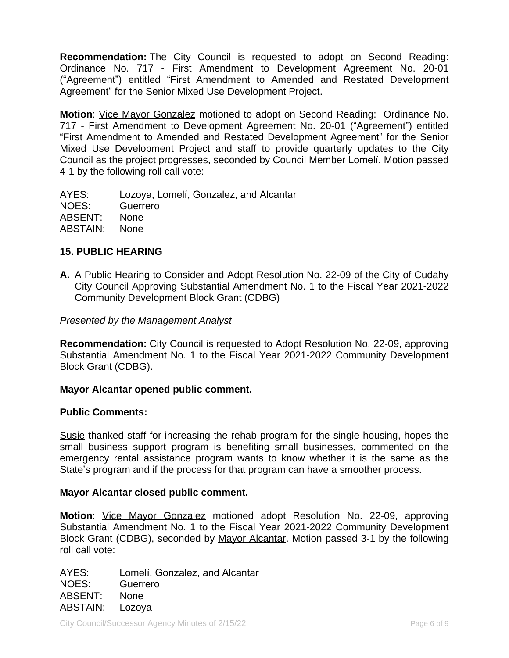**Recommendation:** The City Council is requested to adopt on Second Reading: Ordinance No. 717 - First Amendment to Development Agreement No. 20-01 ("Agreement") entitled "First Amendment to Amended and Restated Development Agreement" for the Senior Mixed Use Development Project.

**Motion**: Vice Mayor Gonzalez motioned to adopt on Second Reading: Ordinance No. 717 - First Amendment to Development Agreement No. 20-01 ("Agreement") entitled "First Amendment to Amended and Restated Development Agreement" for the Senior Mixed Use Development Project and staff to provide quarterly updates to the City Council as the project progresses, seconded by Council Member Lomelí. Motion passed 4-1 by the following roll call vote:

AYES: Lozoya, Lomelí, Gonzalez, and Alcantar NOES: Guerrero ABSENT: None ABSTAIN: None

# **15. PUBLIC HEARING**

**A.** A Public Hearing to Consider and Adopt Resolution No. 22-09 of the City of Cudahy City Council Approving Substantial Amendment No. 1 to the Fiscal Year 2021-2022 Community Development Block Grant (CDBG)

# *Presented by the Management Analyst*

**Recommendation:** City Council is requested to Adopt Resolution No. 22-09, approving Substantial Amendment No. 1 to the Fiscal Year 2021-2022 Community Development Block Grant (CDBG).

# **Mayor Alcantar opened public comment.**

# **Public Comments:**

Susie thanked staff for increasing the rehab program for the single housing, hopes the small business support program is benefiting small businesses, commented on the emergency rental assistance program wants to know whether it is the same as the State's program and if the process for that program can have a smoother process.

# **Mayor Alcantar closed public comment.**

**Motion**: Vice Mayor Gonzalez motioned adopt Resolution No. 22-09, approving Substantial Amendment No. 1 to the Fiscal Year 2021-2022 Community Development Block Grant (CDBG), seconded by Mayor Alcantar. Motion passed 3-1 by the following roll call vote:

AYES: Lomelí, Gonzalez, and Alcantar NOES: Guerrero ABSENT: None ABSTAIN: Lozoya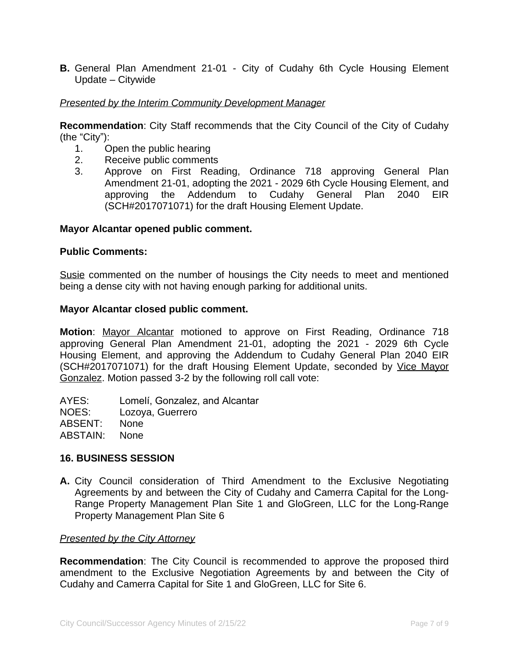**B.** General Plan Amendment 21-01 - City of Cudahy 6th Cycle Housing Element Update – Citywide

#### *Presented by the Interim Community Development Manager*

**Recommendation**: City Staff recommends that the City Council of the City of Cudahy (the "City"):

- 1. Open the public hearing
- 2. Receive public comments
- 3. Approve on First Reading, Ordinance 718 approving General Plan Amendment 21-01, adopting the 2021 - 2029 6th Cycle Housing Element, and approving the Addendum to Cudahy General Plan 2040 EIR (SCH#2017071071) for the draft Housing Element Update.

#### **Mayor Alcantar opened public comment.**

#### **Public Comments:**

Susie commented on the number of housings the City needs to meet and mentioned being a dense city with not having enough parking for additional units.

#### **Mayor Alcantar closed public comment.**

**Motion**: Mayor Alcantar motioned to approve on First Reading, Ordinance 718 approving General Plan Amendment 21-01, adopting the 2021 - 2029 6th Cycle Housing Element, and approving the Addendum to Cudahy General Plan 2040 EIR (SCH#2017071071) for the draft Housing Element Update, seconded by Vice Mayor Gonzalez. Motion passed 3-2 by the following roll call vote:

AYES: Lomelí, Gonzalez, and Alcantar NOES: Lozoya, Guerrero ABSENT: None ABSTAIN: None

#### **16. BUSINESS SESSION**

**A.** City Council consideration of Third Amendment to the Exclusive Negotiating Agreements by and between the City of Cudahy and Camerra Capital for the Long-Range Property Management Plan Site 1 and GloGreen, LLC for the Long-Range Property Management Plan Site 6

#### *Presented by the City Attorney*

**Recommendation**: The City Council is recommended to approve the proposed third amendment to the Exclusive Negotiation Agreements by and between the City of Cudahy and Camerra Capital for Site 1 and GloGreen, LLC for Site 6.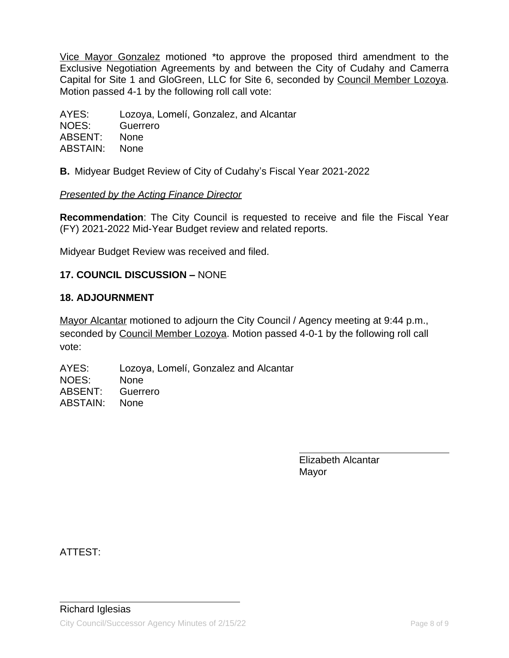Vice Mayor Gonzalez motioned \*to approve the proposed third amendment to the Exclusive Negotiation Agreements by and between the City of Cudahy and Camerra Capital for Site 1 and GloGreen, LLC for Site 6, seconded by Council Member Lozoya. Motion passed 4-1 by the following roll call vote:

AYES: Lozoya, Lomelí, Gonzalez, and Alcantar NOES: Guerrero ABSENT: None ABSTAIN: None

**B.** Midyear Budget Review of City of Cudahy's Fiscal Year 2021-2022

#### *Presented by the Acting Finance Director*

**Recommendation**: The City Council is requested to receive and file the Fiscal Year (FY) 2021-2022 Mid-Year Budget review and related reports.

Midyear Budget Review was received and filed.

### **17. COUNCIL DISCUSSION –** NONE

#### **18. ADJOURNMENT**

Mayor Alcantar motioned to adjourn the City Council / Agency meeting at 9:44 p.m., seconded by Council Member Lozoya. Motion passed 4-0-1 by the following roll call vote:

AYES: Lozoya, Lomelí, Gonzalez and Alcantar NOES: None ABSENT: Guerrero ABSTAIN: None

> Elizabeth Alcantar Mayor

 $\overline{a}$ 

ATTEST:

 $\overline{a}$